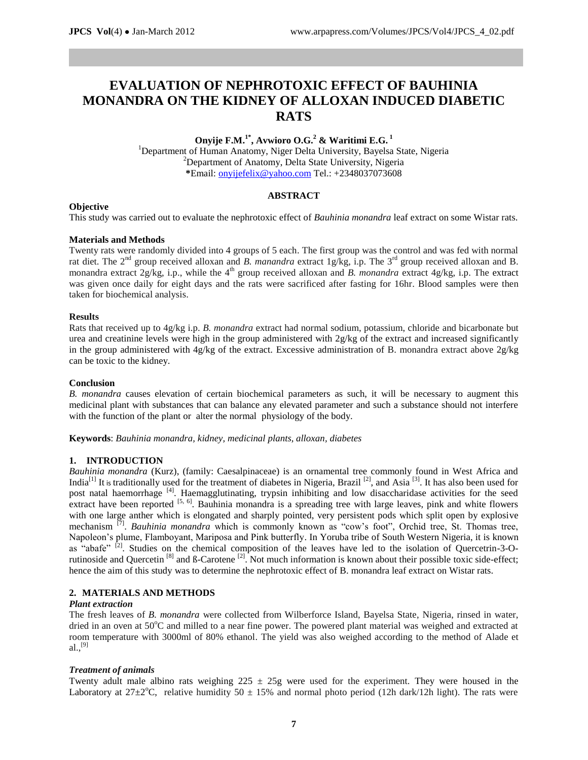# **EVALUATION OF NEPHROTOXIC EFFECT OF BAUHINIA MONANDRA ON THE KIDNEY OF ALLOXAN INDUCED DIABETIC RATS**

# **Onyije F.M. 1\*, Avwioro O.G. <sup>2</sup> & Waritimi E.G. 1** <sup>1</sup>Department of Human Anatomy, Niger Delta University, Bayelsa State, Nigeria <sup>2</sup>Department of Anatomy, Delta State University, Nigeria **\***Email[: onyijefelix@yahoo.com](mailto:onyijefelix@yahoo.com) Tel.: +2348037073608

# **ABSTRACT**

## **Objective**

This study was carried out to evaluate the nephrotoxic effect of *Bauhinia monandra* leaf extract on some Wistar rats.

# **Materials and Methods**

Twenty rats were randomly divided into 4 groups of 5 each. The first group was the control and was fed with normal rat diet. The 2<sup>nd</sup> group received alloxan and *B. manandra* extract 1g/kg, i.p. The 3<sup>rd</sup> group received alloxan and B. monandra extract 2g/kg, i.p., while the 4<sup>th</sup> group received alloxan and *B. monandra* extract 4g/kg, i.p. The extract was given once daily for eight days and the rats were sacrificed after fasting for 16hr. Blood samples were then taken for biochemical analysis.

# **Results**

Rats that received up to 4g/kg i.p. *B. monandra* extract had normal sodium, potassium, chloride and bicarbonate but urea and creatinine levels were high in the group administered with 2g/kg of the extract and increased significantly in the group administered with 4g/kg of the extract. Excessive administration of B. monandra extract above 2g/kg can be toxic to the kidney.

## **Conclusion**

*B. monandra* causes elevation of certain biochemical parameters as such, it will be necessary to augment this medicinal plant with substances that can balance any elevated parameter and such a substance should not interfere with the function of the plant or alter the normal physiology of the body.

**Keywords**: *Bauhinia monandra, kidney, medicinal plants, alloxan, diabetes*

## **1. INTRODUCTION**

*Bauhinia monandra* (Kurz), (family: Caesalpinaceae) is an ornamental tree commonly found in West Africa and India<sup>[1]</sup> It is traditionally used for the treatment of diabetes in Nigeria, Brazil  $^{[2]}$ , and Asia  $^{[3]}$ . It has also been used for post natal haemorrhage [4]. Haemagglutinating, trypsin inhibiting and low disaccharidase activities for the seed extract have been reported <sup>[5, 6]</sup>. Bauhinia monandra is a spreading tree with large leaves, pink and white flowers with one large anther which is elongated and sharply pointed, very persistent pods which split open by explosive mechanism <sup>[7]</sup>. *Bauhinia monandra* which is commonly known as "cow's foot", Orchid tree, St. Thomas tree, Napoleon's plume, Flamboyant, Mariposa and Pink butterfly. In Yoruba tribe of South Western Nigeria, it is known as "abafe" <sup>[2]</sup>. Studies on the chemical composition of the leaves have led to the isolation of Quercetrin-3-Orutinoside and Quercetin<sup>[8]</sup> and  $\beta$ -Carotene<sup>[2]</sup>. Not much information is known about their possible toxic side-effect; hence the aim of this study was to determine the nephrotoxic effect of B. monandra leaf extract on Wistar rats.

# **2. MATERIALS AND METHODS**

## *Plant extraction*

The fresh leaves of *B. monandra* were collected from Wilberforce Island, Bayelsa State, Nigeria, rinsed in water, dried in an oven at 50°C and milled to a near fine power. The powered plant material was weighed and extracted at room temperature with 3000ml of 80% ethanol. The yield was also weighed according to the method of Alade et  $a1.,$ <sup>[9]</sup>

## *Treatment of animals*

Twenty adult male albino rats weighing  $225 \pm 25$ g were used for the experiment. They were housed in the Laboratory at  $27\pm2^{\circ}$ C, relative humidity 50  $\pm$  15% and normal photo period (12h dark/12h light). The rats were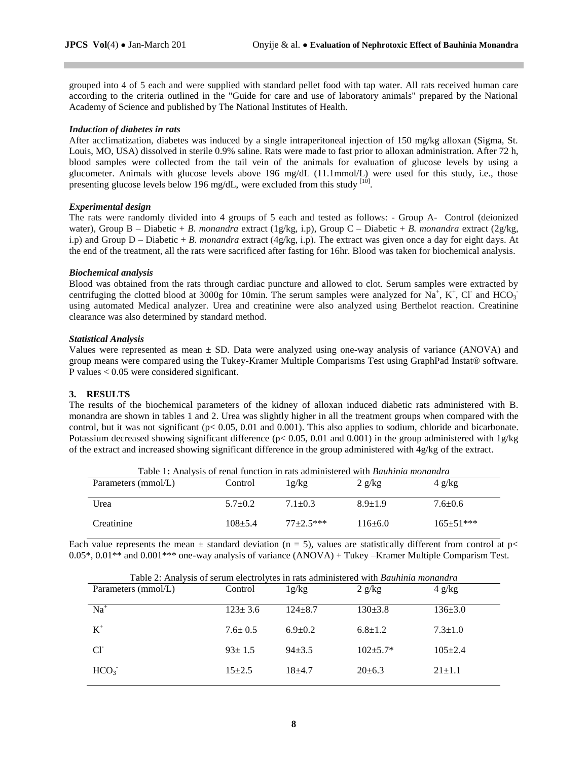grouped into 4 of 5 each and were supplied with standard pellet food with tap water. All rats received human care according to the criteria outlined in the "Guide for care and use of laboratory animals" prepared by the National Academy of Science and published by The National Institutes of Health.

#### *Induction of diabetes in rats*

After acclimatization, diabetes was induced by a single intraperitoneal injection of 150 mg/kg alloxan (Sigma, St. Louis, MO, USA) dissolved in sterile 0.9% saline. Rats were made to fast prior to alloxan administration. After 72 h, blood samples were collected from the tail vein of the animals for evaluation of glucose levels by using a glucometer. Animals with glucose levels above 196 mg/dL (11.1mmol/L) were used for this study, i.e., those presenting glucose levels below 196 mg/dL, were excluded from this study [10].

#### *Experimental design*

The rats were randomly divided into 4 groups of 5 each and tested as follows: - Group A- Control (deionized water), Group B – Diabetic + *B. monandra* extract (1g/kg, i.p), Group C – Diabetic + *B. monandra* extract (2g/kg, i.p) and Group D – Diabetic + *B. monandra* extract (4g/kg, i.p). The extract was given once a day for eight days. At the end of the treatment, all the rats were sacrificed after fasting for 16hr. Blood was taken for biochemical analysis.

#### *Biochemical analysis*

Blood was obtained from the rats through cardiac puncture and allowed to clot. Serum samples were extracted by centrifuging the clotted blood at 3000g for 10min. The serum samples were analyzed for  $Na^+$ , K<sup>+</sup>, Cl<sup>-</sup> and HCO<sub>3</sub><sup>-</sup> using automated Medical analyzer. Urea and creatinine were also analyzed using Berthelot reaction. Creatinine clearance was also determined by standard method.

#### *Statistical Analysis*

Values were represented as mean ± SD. Data were analyzed using one-way analysis of variance (ANOVA) and group means were compared using the Tukey-Kramer Multiple Comparisms Test using GraphPad Instat® software. P values < 0.05 were considered significant.

## **3. RESULTS**

The results of the biochemical parameters of the kidney of alloxan induced diabetic rats administered with B. monandra are shown in tables 1 and 2. Urea was slightly higher in all the treatment groups when compared with the control, but it was not significant (p< 0.05, 0.01 and 0.001). This also applies to sodium, chloride and bicarbonate. Potassium decreased showing significant difference ( $p < 0.05$ , 0.01 and 0.001) in the group administered with  $1g/kg$ of the extract and increased showing significant difference in the group administered with 4g/kg of the extract.

| Table 1: Analysis of renal function in rats administered with <i>Bauhinia monandra</i> |             |             |             |               |  |  |
|----------------------------------------------------------------------------------------|-------------|-------------|-------------|---------------|--|--|
| Parameters (mmol/L)                                                                    | Control     | 1g/kg       | 2 g/kg      | 4 g/kg        |  |  |
|                                                                                        |             |             |             |               |  |  |
| Urea                                                                                   | $5.7+0.2$   | $7.1 + 0.3$ | $8.9 + 1.9$ | $7.6 \pm 0.6$ |  |  |
|                                                                                        |             |             |             |               |  |  |
| Creatinine                                                                             | $108 + 5.4$ | $77+2.5***$ | $116+6.0$   | $165 + 51***$ |  |  |
|                                                                                        |             |             |             |               |  |  |

Each value represents the mean  $\pm$  standard deviation (n = 5), values are statistically different from control at p $\lt$ 0.05\*, 0.01\*\* and 0.001\*\*\* one-way analysis of variance (ANOVA) + Tukey –Kramer Multiple Comparism Test.

| Table 2: Analysis of serum electrolytes in rats administered with <i>Bauhinia monandra</i> |               |               |             |                  |  |  |
|--------------------------------------------------------------------------------------------|---------------|---------------|-------------|------------------|--|--|
| Parameters (mmol/L)                                                                        | Control       | 1g/kg         | 2 g/kg      | $4 \frac{g}{kg}$ |  |  |
|                                                                                            |               |               |             |                  |  |  |
| $Na+$                                                                                      | $123 \pm 3.6$ | $124 + 8.7$   | $130+3.8$   | $136 \pm 3.0$    |  |  |
| $K^+$                                                                                      | $7.6 \pm 0.5$ | $6.9 \pm 0.2$ | $6.8 + 1.2$ | $7.3 \pm 1.0$    |  |  |
|                                                                                            |               |               |             |                  |  |  |
| CI                                                                                         | $93 \pm 1.5$  | $94 + 3.5$    | $102+5.7*$  | $105+2.4$        |  |  |
| HCO <sub>3</sub>                                                                           | $15+2.5$      | $18+4.7$      | $20+6.3$    | $21 + 1.1$       |  |  |